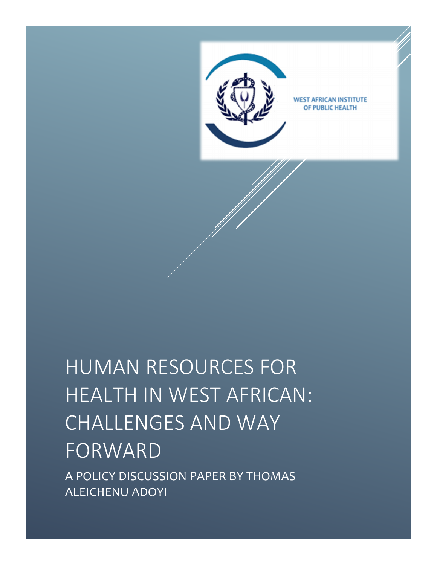

# HUMAN RESOURCES FOR HEALTH IN WEST AFRICAN: CHALLENGES AND WAY FORWARD A POLICY DISCUSSION PAPER BY THOMAS ALEICHENU ADOYI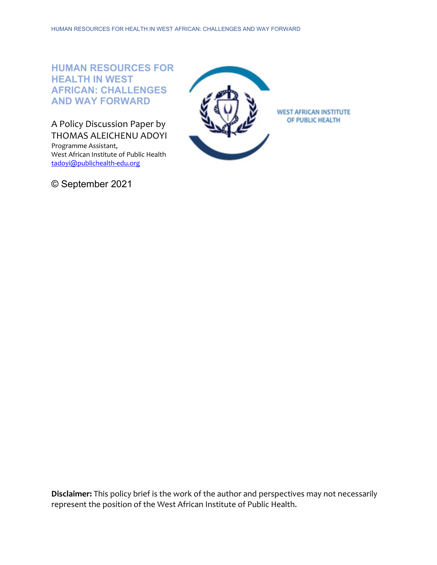# **HUMAN RESOURCES FOR HEALTH IN WEST AFRICAN: CHALLENGES AND WAY FORWARD**

A Policy Discussion Paper by THOMAS ALEICHENU ADOYI

Programme Assistant, West African Institute of Public Health [tadoyi@publichealth-edu.org](mailto:tadoyi@publichealth-edu.org) 

© September 2021



**Disclaimer:** This policy brief is the work of the author and perspectives may not necessarily represent the position of the West African Institute of Public Health.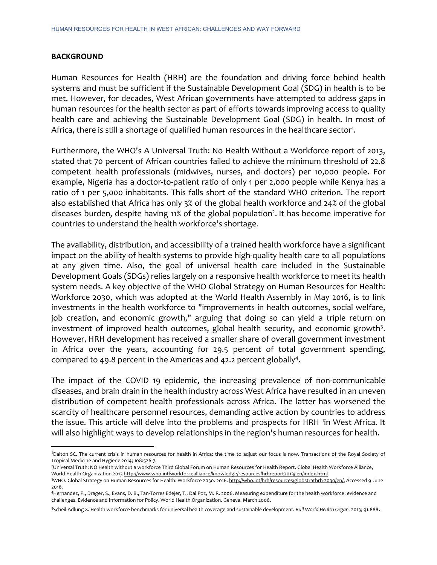#### **BACKGROUND**

 $\overline{a}$ 

Human Resources for Health (HRH) are the foundation and driving force behind health systems and must be sufficient if the Sustainable Development Goal (SDG) in health is to be met. However, for decades, West African governments have attempted to address gaps in human resources for the health sector as part of efforts towards improving access to quality health care and achieving the Sustainable Development Goal (SDG) in health. In most of Africa, there is still a shortage of qualified human resources in the healthcare sector<sup>1</sup>.

Furthermore, the WHO's A Universal Truth: No Health Without a Workforce report of 2013, stated that 70 percent of African countries failed to achieve the minimum threshold of 22.8 competent health professionals (midwives, nurses, and doctors) per 10,000 people. For example, Nigeria has a doctor-to-patient ratio of only 1 per 2,000 people while Kenya has a ratio of 1 per 5,000 inhabitants. This falls short of the standard WHO criterion. The report also established that Africa has only 3% of the global health workforce and 24% of the global diseases burden, despite having 11% of the global population<sup>2</sup>. It has become imperative for countries to understand the health workforce's shortage.

The availability, distribution, and accessibility of a trained health workforce have a significant impact on the ability of health systems to provide high-quality health care to all populations at any given time. Also, the goal of universal health care included in the Sustainable Development Goals (SDGs) relies largely on a responsive health workforce to meet its health system needs. A key objective of the WHO Global Strategy on Human Resources for Health: Workforce 2030, which was adopted at the World Health Assembly in May 2016, is to link investments in the health workforce to "improvements in health outcomes, social welfare, job creation, and economic growth," arguing that doing so can yield a triple return on investment of improved health outcomes, global health security, and economic growth<sup>3</sup>. However, HRH development has received a smaller share of overall government investment in Africa over the years, accounting for 29.5 percent of total government spending, compared to 49.8 percent in the Americas and 42.2 percent globally<sup>4</sup>.

The impact of the COVID 19 epidemic, the increasing prevalence of non-communicable diseases, and brain drain in the health industry across West Africa have resulted in an uneven distribution of competent health professionals across Africa. The latter has worsened the scarcity of healthcare personnel resources, demanding active action by countries to address the issue. This article will delve into the problems and prospects for HRH <sup>[1](#page-2-0)</sup>in West Africa. It will also highlight ways to develop relationships in the region's human resources for health.

<span id="page-2-0"></span><sup>&</sup>lt;sup>1</sup>Dalton SC. The current crisis in human resources for health in Africa: the time to adjust our focus is now. Transactions of the Royal Society of Tropical Medicine and Hygiene 2014; 108:526-7.

<sup>2</sup> Universal Truth: NO Health without a workforce Third Global Forum on Human Resources for Health Report. Global Health Workforce Alliance, World Health Organization 2013 http://www.who.int/workforcealliance/knowledge/resources/hrhreport2013/ en/index.html

<sup>3</sup>WHO. Global Strategy on Human Resources for Health: Workforce 2030. 2016. http://who.int/hrh/resources/globstrathrh-2030/en/. Accessed 9 June 2016.

<sup>4</sup>Hernandez, P., Drager, S., Evans, D. B., Tan-Torres Edejer, T., Dal Poz, M. R. 2006. Measuring expenditure for the health workforce: evidence and challenges. Evidence and Information for Policy. World Health Organization. Geneva. March 2006.

<sup>5</sup> Scheil-Adlung X. Health workforce benchmarks for universal health coverage and sustainable development. *Bull World Health Organ.* 2013; 91:888.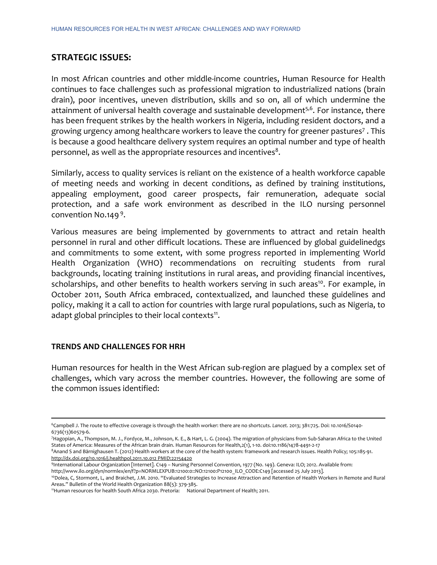### **STRATEGIC ISSUES:**

In most African countries and other middle-income countries, Human Resource for Health continues to face challenges such as professional migration to industrialized nations (brain drain), poor incentives, uneven distribution, skills and so on, all of which undermine the attainment of universal health coverage and sustainable development<sup>5,6</sup>. For instance, there has been frequent strikes by the health workers in Nigeria, including resident doctors, and a growing urgency among healthcare workers to leave the country for greener pastures7 . This is because a good healthcare delivery system requires an optimal number and type of health personnel, as well as the appropriate resources and incentives<sup>8</sup>.

Similarly, access to quality services is reliant on the existence of a health workforce capable of meeting needs and working in decent conditions, as defined by training institutions, appealing employment, good career prospects, fair remuneration, adequate social protection, and a safe work environment as described in the ILO nursing personnel convention No.149 9.

Various measures are being implemented by governments to attract and retain health personnel in rural and other difficult locations. These are influenced by global guidelinedgs and commitments to some extent, with some progress reported in implementing World Health Organization (WHO) recommendations on recruiting students from rural backgrounds, locating training institutions in rural areas, and providing financial incentives, scholarships, and other benefits to health workers serving in such areas<sup>10</sup>. For example, in October 2011, South Africa embraced, contextualized, and launched these guidelines and policy, making it a call to action for countries with large rural populations, such as Nigeria, to adapt global principles to their local contexts<sup>11</sup>.

#### **TRENDS AND CHALLENGES FOR HRH**

 $\overline{a}$ 

Human resources for health in the West African sub-region are plagued by a complex set of challenges, which vary across the member countries. However, the following are some of the common issues identified:

7 Hagopian, A., Thompson, M. J., Fordyce, M., Johnson, K. E., & Hart, L. G. (2004). The migration of physicians from Sub-Saharan Africa to the United States of America: Measures of the African brain drain. Human Resources for Health,2(1), 1-10. doi:10.1186/1478-4491-2-17

8Anand S and Bärnighausen T. (2012) Health workers at the core of the health system: framework and research issues. Health Policy; 105:185-91. [http://dx.doi.org/10.1016/j.healthpol.2011.10.012 PMID:22154420](http://dx.doi.org/10.1016/j.healthpol.2011.10.012%20PMID:22154420)

9International Labour Organization [Internet]. C149 – Nursing Personnel Convention, 1977 (No. 149). Geneva: ILO; 2012. Available from: http://www.ilo.org/dyn/normlex/en/f?p=NORMLEXPUB:12100:0::NO:12100:P12100\_ILO\_CODE:C149 [accessed 25 July 2013].

<sup>6</sup>Campbell J. The route to effective coverage is through the health worker: there are no shortcuts. *Lancet.* 2013; 381:725. Doi: 10.1016/S0140- 6736(13)60579-6.

<sup>10</sup>Dolea, C, Stormont, L, and Braichet, J.M. 2010. "Evaluated Strategies to Increase Attraction and Retention of Health Workers in Remote and Rural Areas." Bulletin of the World Health Organization 88(5): 379-385.

<sup>11</sup>Human resources for health South Africa 2030. Pretoria: National Department of Health; 2011.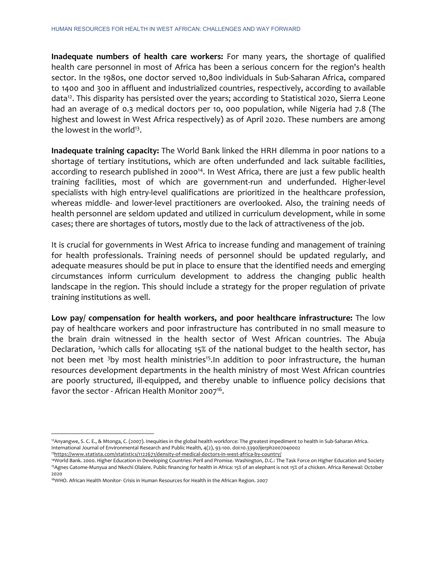**Inadequate numbers of health care workers:** For many years, the shortage of qualified health care personnel in most of Africa has been a serious concern for the region's health sector. In the 1980s, one doctor served 10,800 individuals in Sub-Saharan Africa, compared to 1400 and 300 in affluent and industrialized countries, respectively, according to available data<sup>12</sup>. This disparity has persisted over the years; according to Statistical 2020, Sierra Leone had an average of 0.3 medical doctors per 10, 000 population, while Nigeria had 7.8 (The highest and lowest in West Africa respectively) as of April 2020. These numbers are among the lowest in the world<sup>13</sup>.

**Inadequate training capacity:** The World Bank linked the HRH dilemma in poor nations to a shortage of tertiary institutions, which are often underfunded and lack suitable facilities, according to research published in 2000<sup>14</sup>. In West Africa, there are just a few public health training facilities, most of which are government-run and underfunded. Higher-level specialists with high entry-level qualifications are prioritized in the healthcare profession, whereas middle- and lower-level practitioners are overlooked. Also, the training needs of health personnel are seldom updated and utilized in curriculum development, while in some cases; there are shortages of tutors, mostly due to the lack of attractiveness of the job.

It is crucial for governments in West Africa to increase funding and management of training for health professionals. Training needs of personnel should be updated regularly, and adequate measures should be put in place to ensure that the identified needs and emerging circumstances inform curriculum development to address the changing public health landscape in the region. This should include a strategy for the proper regulation of private training institutions as well.

**Low pay/ compensation for health workers, and poor healthcare infrastructure:** The low pay of healthcare workers and poor infrastructure has contributed in no small measure to the brain drain witnessed in the health sector of West African countries. The Abuja Declaration, <sup>[2](#page-4-0)</sup>which calls for allocating 15% of the national budget to the health sector, has not been met <sup>[3](#page-4-1)</sup>by most health ministries<sup>15</sup>. In addition to poor infrastructure, the human resources development departments in the health ministry of most West African countries are poorly structured, ill-equipped, and thereby unable to influence policy decisions that favor the sector - African Health Monitor 2007<sup>16</sup>.

 $\overline{a}$ 

<span id="page-4-0"></span><sup>&</sup>lt;sup>12</sup> Anyangwe, S. C. E., & Mtonga, C. (2007). Inequities in the global health workforce: The greatest impediment to health in Sub-Saharan Africa. International Journal of Environmental Research and Public Health, 4(2), 93-100. doi:10.3390/ijerph2007040002 1[3https://www.statista.com/statistics/1122671/density-of-medical-doctors-in-west-africa-by-country/](https://www.statista.com/statistics/1122671/density-of-medical-doctors-in-west-africa-by-country/)

<sup>&</sup>lt;sup>14</sup>World Bank. 2000. Higher Education in Developing Countries: Peril and Promise. Washington, D.C.: The Task Force on Higher Education and Society 15Agnes Gatome-Munyua and Nkechi Olalere. Public financing for health in Africa: 15% of an elephant is not 15% of a chicken. Africa Renewal: October 2020

<span id="page-4-1"></span><sup>16</sup>WHO. African Health Monitor- Crisis in Human Resources for Health in the African Region. 2007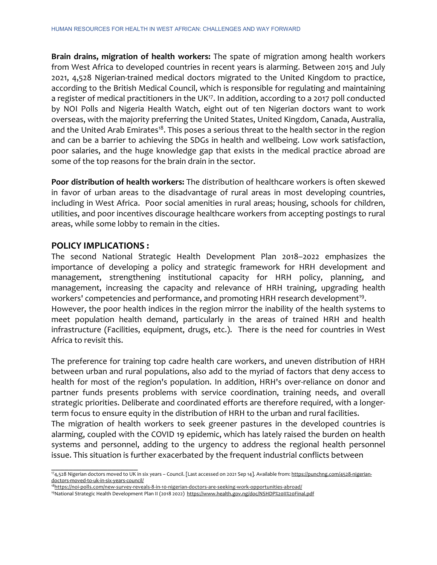**Brain drains, migration of health workers:** The spate of migration among health workers from West Africa to developed countries in recent years is alarming. Between 2015 and July 2021, 4,528 Nigerian-trained medical doctors migrated to the United Kingdom to practice, according to the British Medical Council, which is responsible for regulating and maintaining a register of medical practitioners in the UK<sup>17</sup>. In addition, according to a 2017 poll conducted by NOI Polls and Nigeria Health Watch, eight out of ten Nigerian doctors want to work overseas, with the majority preferring the United States, United Kingdom, Canada, Australia, and the United Arab Emirates<sup>18</sup>. This poses a serious threat to the health sector in the region and can be a barrier to achieving the SDGs in health and wellbeing. Low work satisfaction, poor salaries, and the huge knowledge gap that exists in the medical practice abroad are some of the top reasons for the brain drain in the sector.

**Poor distribution of health workers:** The distribution of healthcare workers is often skewed in favor of urban areas to the disadvantage of rural areas in most developing countries, including in West Africa. Poor social amenities in rural areas; housing, schools for children, utilities, and poor incentives discourage healthcare workers from accepting postings to rural areas, while some lobby to remain in the cities.

## **POLICY IMPLICATIONS :**

 $\overline{\phantom{a}}$  , where  $\overline{\phantom{a}}$  , where  $\overline{\phantom{a}}$  , where  $\overline{\phantom{a}}$ 

The second National Strategic Health Development Plan 2018–2022 emphasizes the importance of developing a policy and strategic framework for HRH development and management, strengthening institutional capacity for HRH policy, planning, and management, increasing the capacity and relevance of HRH training, upgrading health workers' competencies and performance, and promoting HRH research development<sup>19</sup>.

However, the poor health indices in the region mirror the inability of the health systems to meet population health demand, particularly in the areas of trained HRH and health infrastructure (Facilities, equipment, drugs, etc.). There is the need for countries in West Africa to revisit this.

The preference for training top cadre health care workers, and uneven distribution of HRH between urban and rural populations, also add to the myriad of factors that deny access to health for most of the region's population. In addition, HRH's over-reliance on donor and partner funds presents problems with service coordination, training needs, and overall strategic priorities. Deliberate and coordinated efforts are therefore required, with a longerterm focus to ensure equity in the distribution of HRH to the urban and rural facilities.

The migration of health workers to seek greener pastures in the developed countries is alarming, coupled with the COVID 19 epidemic, which has lately raised the burden on health systems and personnel, adding to the urgency to address the regional health personnel issue. This situation is further exacerbated by the frequent industrial conflicts between

<sup>174,528</sup> Nigerian doctors moved to UK in six years - Council. [Last accessed on 2021 Sep 14]. Available from[: https://punchng.com/4528-nigerian](https://punchng.com/4528-nigerian-doctors-moved-to-uk-in-six-years-council/)[doctors-moved-to-uk-in-six-years-council/](https://punchng.com/4528-nigerian-doctors-moved-to-uk-in-six-years-council/)

<sup>1</sup>[8https://noi-polls.com/new-survey-reveals-8-in-10-nigerian-doctors-are-seeking-work-opportunities-abroad/](https://noi-polls.com/new-survey-reveals-8-in-10-nigerian-doctors-are-seeking-work-opportunities-abroad/)

<sup>19</sup>National Strategic Health Development Plan II (2018 2022)<https://www.health.gov.ng/doc/NSHDP%20II%20Final.pdf>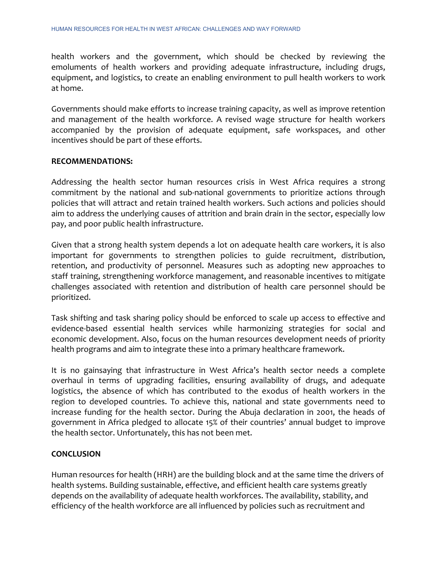health workers and the government, which should be checked by reviewing the emoluments of health workers and providing adequate infrastructure, including drugs, equipment, and logistics, to create an enabling environment to pull health workers to work at home.

Governments should make efforts to increase training capacity, as well as improve retention and management of the health workforce. A revised wage structure for health workers accompanied by the provision of adequate equipment, safe workspaces, and other incentives should be part of these efforts.

#### **RECOMMENDATIONS:**

Addressing the health sector human resources crisis in West Africa requires a strong commitment by the national and sub-national governments to prioritize actions through policies that will attract and retain trained health workers. Such actions and policies should aim to address the underlying causes of attrition and brain drain in the sector, especially low pay, and poor public health infrastructure.

Given that a strong health system depends a lot on adequate health care workers, it is also important for governments to strengthen policies to guide recruitment, distribution, retention, and productivity of personnel. Measures such as adopting new approaches to staff training, strengthening workforce management, and reasonable incentives to mitigate challenges associated with retention and distribution of health care personnel should be prioritized.

Task shifting and task sharing policy should be enforced to scale up access to effective and evidence-based essential health services while harmonizing strategies for social and economic development. Also, focus on the human resources development needs of priority health programs and aim to integrate these into a primary healthcare framework.

It is no gainsaying that infrastructure in West Africa's health sector needs a complete overhaul in terms of upgrading facilities, ensuring availability of drugs, and adequate logistics, the absence of which has contributed to the exodus of health workers in the region to developed countries. To achieve this, national and state governments need to increase funding for the health sector. During the Abuja declaration in 2001, the heads of government in Africa pledged to allocate 15% of their countries' annual budget to improve the health sector. Unfortunately, this has not been met.

#### **CONCLUSION**

Human resources for health (HRH) are the building block and at the same time the drivers of health systems. Building sustainable, effective, and efficient health care systems greatly depends on the availability of adequate health workforces. The availability, stability, and efficiency of the health workforce are all influenced by policies such as recruitment and